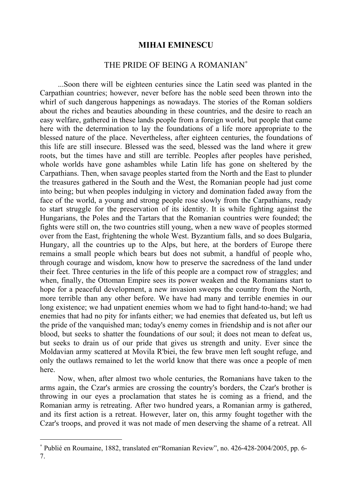## **MIHAI EMINESCU**

## THE PRIDE OF BEING A ROMANIAN<sup>\*</sup>

...Soon there will be eighteen centuries since the Latin seed was planted in the Carpathian countries; however, never before has the noble seed been thrown into the whirl of such dangerous happenings as nowadays. The stories of the Roman soldiers about the riches and beauties abounding in these countries, and the desire to reach an easy welfare, gathered in these lands people from a foreign world, but people that came here with the determination to lay the foundations of a life more appropriate to the blessed nature of the place. Nevertheless, after eighteen centuries, the foundations of this life are still insecure. Blessed was the seed, blessed was the land where it grew roots, but the times have and still are terrible. Peoples after peoples have perished, whole worlds have gone ashambles while Latin life has gone on sheltered by the Carpathians. Then, when savage peoples started from the North and the East to plunder the treasures gathered in the South and the West, the Romanian people had just come into being; but when peoples indulging in victory and domination faded away from the face of the world, a young and strong people rose slowly from the Carpathians, ready to start struggle for the preservation of its identity. It is while fighting against the Hungarians, the Poles and the Tartars that the Romanian countries were founded; the fights were still on, the two countries still young, when a new wave of peoples stormed over from the East, frightening the whole West. Byzantium falls, and so does Bulgaria, Hungary, all the countries up to the Alps, but here, at the borders of Europe there remains a small people which bears but does not submit, a handful of people who, through courage and wisdom, know how to preserve the sacredness of the land under their feet. Three centuries in the life of this people are a compact row of straggles; and when, finally, the Ottoman Empire sees its power weaken and the Romanians start to hope for a peaceful development, a new invasion sweeps the country from the North, more terrible than any other before. We have had many and terrible enemies in our long existence; we had unpatient enemies whom we had to fight hand-to-hand; we had enemies that had no pity for infants either; we had enemies that defeated us, but left us the pride of the vanquished man; today's enemy comes in friendship and is not after our blood, but seeks to shatter the foundations of our soul; it does not mean to defeat us, but seeks to drain us of our pride that gives us strength and unity. Ever since the Moldavian army scattered at Movila R'biei, the few brave men left sought refuge, and only the outlaws remained to let the world know that there was once a people of men here.

Now, when, after almost two whole centuries, the Romanians have taken to the arms again, the Czar's armies are crossing the country's borders, the Czar's brother is throwing in our eyes a proclamation that states he is coming as a friend, and the Romanian army is retreating. After two hundred years, a Romanian army is gathered, and its first action is a retreat. However, later on, this army fought together with the Czar's troops, and proved it was not made of men deserving the shame of a retreat. All

 $\overline{a}$ 

<sup>∗</sup> Publié en Roumaine, 1882, translated en"Romanian Review", no. 426-428-2004/2005, pp. 6- 7.